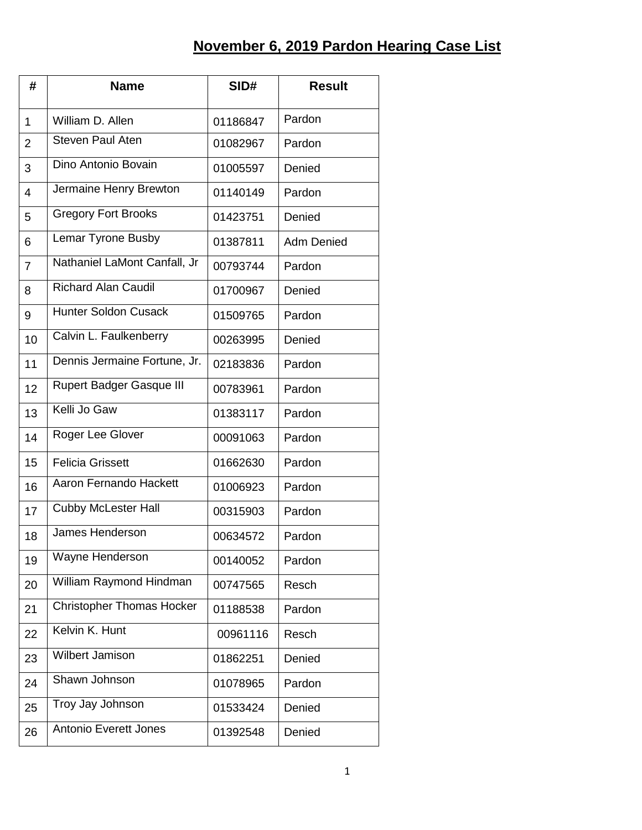## **November 6, 2019 Pardon Hearing Case List**

| #              | <b>Name</b>                      | SID#     | <b>Result</b>     |
|----------------|----------------------------------|----------|-------------------|
| $\mathbf{1}$   | William D. Allen                 | 01186847 | Pardon            |
| $\overline{2}$ | <b>Steven Paul Aten</b>          | 01082967 | Pardon            |
| 3              | Dino Antonio Bovain              | 01005597 | Denied            |
| 4              | Jermaine Henry Brewton           | 01140149 | Pardon            |
| 5              | <b>Gregory Fort Brooks</b>       | 01423751 | Denied            |
| 6              | Lemar Tyrone Busby               | 01387811 | <b>Adm Denied</b> |
| $\overline{7}$ | Nathaniel LaMont Canfall, Jr     | 00793744 | Pardon            |
| 8              | <b>Richard Alan Caudil</b>       | 01700967 | Denied            |
| 9              | <b>Hunter Soldon Cusack</b>      | 01509765 | Pardon            |
| 10             | Calvin L. Faulkenberry           | 00263995 | Denied            |
| 11             | Dennis Jermaine Fortune, Jr.     | 02183836 | Pardon            |
| 12             | <b>Rupert Badger Gasque III</b>  | 00783961 | Pardon            |
| 13             | Kelli Jo Gaw                     | 01383117 | Pardon            |
| 14             | Roger Lee Glover                 | 00091063 | Pardon            |
| 15             | <b>Felicia Grissett</b>          | 01662630 | Pardon            |
| 16             | Aaron Fernando Hackett           | 01006923 | Pardon            |
| 17             | <b>Cubby McLester Hall</b>       | 00315903 | Pardon            |
| 18             | <b>James Henderson</b>           | 00634572 | Pardon            |
| 19             | Wayne Henderson                  | 00140052 | Pardon            |
| 20             | William Raymond Hindman          | 00747565 | Resch             |
| 21             | <b>Christopher Thomas Hocker</b> | 01188538 | Pardon            |
| 22             | Kelvin K. Hunt                   | 00961116 | Resch             |
| 23             | <b>Wilbert Jamison</b>           | 01862251 | Denied            |
| 24             | Shawn Johnson                    | 01078965 | Pardon            |
| 25             | Troy Jay Johnson                 | 01533424 | Denied            |
| 26             | <b>Antonio Everett Jones</b>     | 01392548 | Denied            |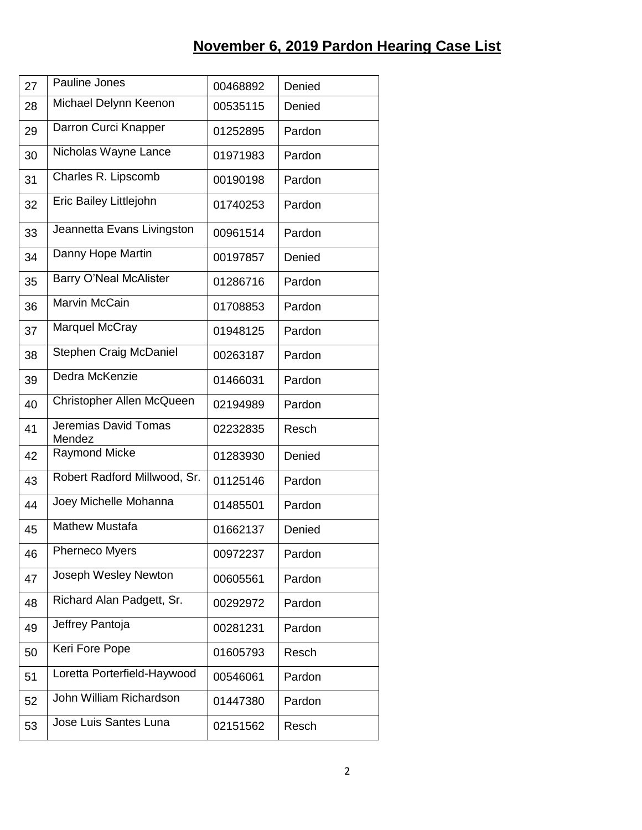| 27 | Pauline Jones                  | 00468892 | Denied |
|----|--------------------------------|----------|--------|
| 28 | Michael Delynn Keenon          | 00535115 | Denied |
| 29 | Darron Curci Knapper           | 01252895 | Pardon |
| 30 | Nicholas Wayne Lance           | 01971983 | Pardon |
| 31 | Charles R. Lipscomb            | 00190198 | Pardon |
| 32 | Eric Bailey Littlejohn         | 01740253 | Pardon |
| 33 | Jeannetta Evans Livingston     | 00961514 | Pardon |
| 34 | Danny Hope Martin              | 00197857 | Denied |
| 35 | <b>Barry O'Neal McAlister</b>  | 01286716 | Pardon |
| 36 | <b>Marvin McCain</b>           | 01708853 | Pardon |
| 37 | Marquel McCray                 | 01948125 | Pardon |
| 38 | <b>Stephen Craig McDaniel</b>  | 00263187 | Pardon |
| 39 | Dedra McKenzie                 | 01466031 | Pardon |
| 40 | Christopher Allen McQueen      | 02194989 | Pardon |
| 41 | Jeremias David Tomas<br>Mendez | 02232835 | Resch  |
| 42 | <b>Raymond Micke</b>           | 01283930 | Denied |
| 43 | Robert Radford Millwood, Sr.   | 01125146 | Pardon |
| 44 | Joey Michelle Mohanna          | 01485501 | Pardon |
| 45 | <b>Mathew Mustafa</b>          | 01662137 | Denied |
| 46 | <b>Pherneco Myers</b>          | 00972237 | Pardon |
| 47 | Joseph Wesley Newton           | 00605561 | Pardon |
| 48 | Richard Alan Padgett, Sr.      | 00292972 | Pardon |
| 49 | Jeffrey Pantoja                | 00281231 | Pardon |
| 50 | Keri Fore Pope                 | 01605793 | Resch  |
| 51 | Loretta Porterfield-Haywood    | 00546061 | Pardon |
| 52 | John William Richardson        | 01447380 | Pardon |
| 53 | Jose Luis Santes Luna          | 02151562 | Resch  |